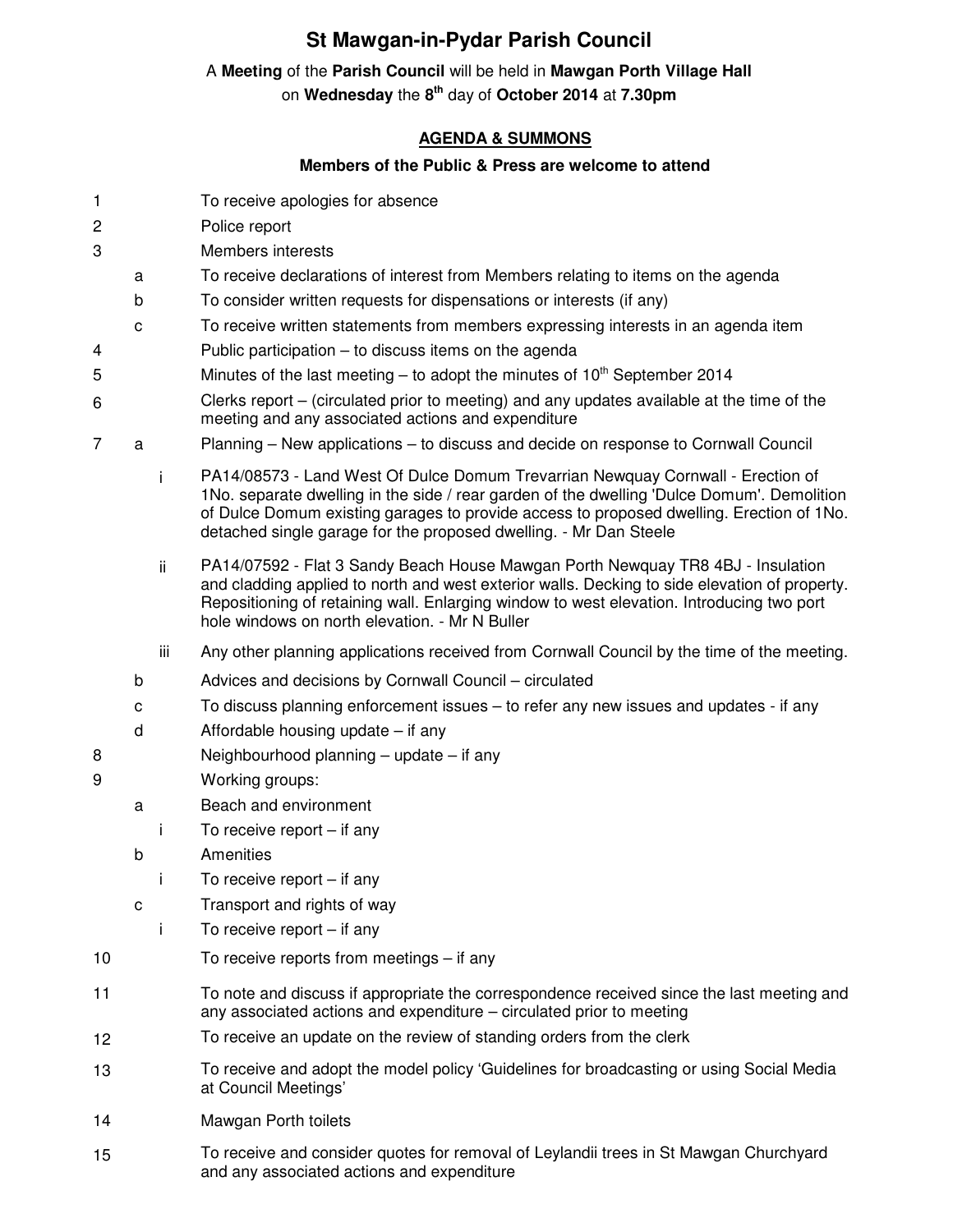## **St Mawgan-in-Pydar Parish Council**

## A **Meeting** of the **Parish Council** will be held in **Mawgan Porth Village Hall**

on **Wednesday** the **8 th** day of **October 2014** at **7.30pm** 

## **AGENDA & SUMMONS**

## **Members of the Public & Press are welcome to attend**

- 1 To receive apologies for absence
- 2 Police report
- 3 Members interests
	- a To receive declarations of interest from Members relating to items on the agenda
	- b To consider written requests for dispensations or interests (if any)
	- c To receive written statements from members expressing interests in an agenda item
- 4 Public participation to discuss items on the agenda
- 5 Minutes of the last meeting to adopt the minutes of  $10^{th}$  September 2014
- 6 Clerks report – (circulated prior to meeting) and any updates available at the time of the meeting and any associated actions and expenditure
- 7 a Planning New applications to discuss and decide on response to Cornwall Council
	- i PA14/08573 Land West Of Dulce Domum Trevarrian Newquay Cornwall Erection of 1No. separate dwelling in the side / rear garden of the dwelling 'Dulce Domum'. Demolition of Dulce Domum existing garages to provide access to proposed dwelling. Erection of 1No. detached single garage for the proposed dwelling. - Mr Dan Steele
	- ii PA14/07592 Flat 3 Sandy Beach House Mawgan Porth Newquay TR8 4BJ Insulation and cladding applied to north and west exterior walls. Decking to side elevation of property. Repositioning of retaining wall. Enlarging window to west elevation. Introducing two port hole windows on north elevation. - Mr N Buller
	- iii Any other planning applications received from Cornwall Council by the time of the meeting.
	- b Advices and decisions by Cornwall Council circulated
	- c To discuss planning enforcement issues to refer any new issues and updates if any
	- d Affordable housing update if any
- 8 Neighbourhood planning update if any
- 9 Working groups:
	- a Beach and environment
		- i To receive report if any
	- b Amenities
		- i To receive report if any
	- c Transport and rights of way
		- i To receive report if any
- 10 To receive reports from meetings if any
- 11 To note and discuss if appropriate the correspondence received since the last meeting and any associated actions and expenditure – circulated prior to meeting
- 12 To receive an update on the review of standing orders from the clerk
- 13 To receive and adopt the model policy 'Guidelines for broadcasting or using Social Media at Council Meetings'
- 14 Mawgan Porth toilets
- 15 To receive and consider quotes for removal of Leylandii trees in St Mawgan Churchyard and any associated actions and expenditure